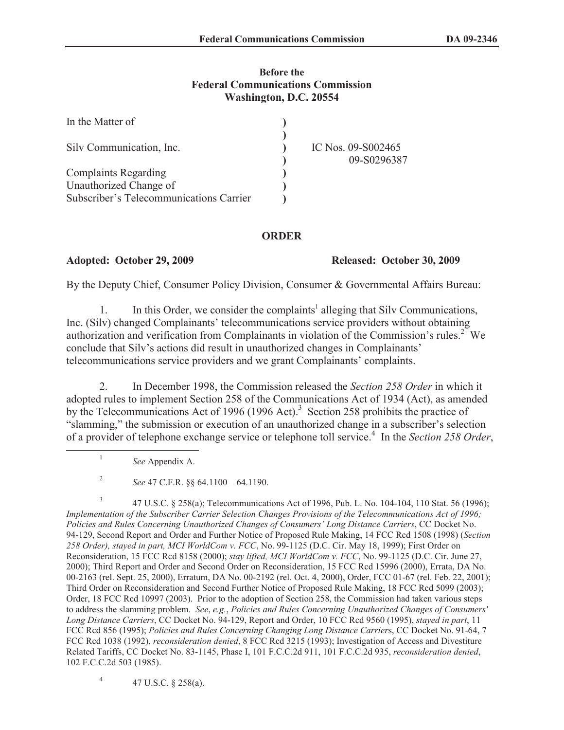#### **Before the Federal Communications Commission Washington, D.C. 20554**

| In the Matter of                        |                                   |
|-----------------------------------------|-----------------------------------|
| Silv Communication, Inc.                | IC Nos. 09-S002465<br>09-S0296387 |
| <b>Complaints Regarding</b>             |                                   |
| Unauthorized Change of                  |                                   |
| Subscriber's Telecommunications Carrier |                                   |

### **ORDER**

#### **Adopted: October 29, 2009 Released: October 30, 2009**

By the Deputy Chief, Consumer Policy Division, Consumer & Governmental Affairs Bureau:

1. In this Order, we consider the complaints<sup>1</sup> alleging that Silv Communications, Inc. (Silv) changed Complainants' telecommunications service providers without obtaining authorization and verification from Complainants in violation of the Commission's rules.<sup>2</sup> We conclude that Silv's actions did result in unauthorized changes in Complainants' telecommunications service providers and we grant Complainants' complaints.

2. In December 1998, the Commission released the *Section 258 Order* in which it adopted rules to implement Section 258 of the Communications Act of 1934 (Act), as amended by the Telecommunications Act of 1996 (1996 Act).<sup>3</sup> Section 258 prohibits the practice of "slamming," the submission or execution of an unauthorized change in a subscriber's selection of a provider of telephone exchange service or telephone toll service.<sup>4</sup> In the *Section 258 Order*,

1

4 47 U.S.C. § 258(a).

*See* Appendix A.

<sup>2</sup> *See* 47 C.F.R. §§ 64.1100 – 64.1190.

<sup>3</sup> 47 U.S.C. § 258(a); Telecommunications Act of 1996, Pub. L. No. 104-104, 110 Stat. 56 (1996); *Implementation of the Subscriber Carrier Selection Changes Provisions of the Telecommunications Act of 1996; Policies and Rules Concerning Unauthorized Changes of Consumers' Long Distance Carriers*, CC Docket No. 94-129, Second Report and Order and Further Notice of Proposed Rule Making, 14 FCC Rcd 1508 (1998) (*Section 258 Order), stayed in part, MCI WorldCom v. FCC*, No. 99-1125 (D.C. Cir. May 18, 1999); First Order on Reconsideration, 15 FCC Rcd 8158 (2000); *stay lifted, MCI WorldCom v. FCC*, No. 99-1125 (D.C. Cir. June 27, 2000); Third Report and Order and Second Order on Reconsideration, 15 FCC Rcd 15996 (2000), Errata, DA No. 00-2163 (rel. Sept. 25, 2000), Erratum, DA No. 00-2192 (rel. Oct. 4, 2000), Order, FCC 01-67 (rel. Feb. 22, 2001); Third Order on Reconsideration and Second Further Notice of Proposed Rule Making, 18 FCC Rcd 5099 (2003); Order, 18 FCC Rcd 10997 (2003). Prior to the adoption of Section 258, the Commission had taken various steps to address the slamming problem. *See*, *e.g.*, *Policies and Rules Concerning Unauthorized Changes of Consumers' Long Distance Carriers*, CC Docket No. 94-129, Report and Order, 10 FCC Rcd 9560 (1995), *stayed in part*, 11 FCC Rcd 856 (1995); *Policies and Rules Concerning Changing Long Distance Carrier*s, CC Docket No. 91-64, 7 FCC Rcd 1038 (1992), *reconsideration denied*, 8 FCC Rcd 3215 (1993); Investigation of Access and Divestiture Related Tariffs, CC Docket No. 83-1145, Phase I, 101 F.C.C.2d 911, 101 F.C.C.2d 935, *reconsideration denied*, 102 F.C.C.2d 503 (1985).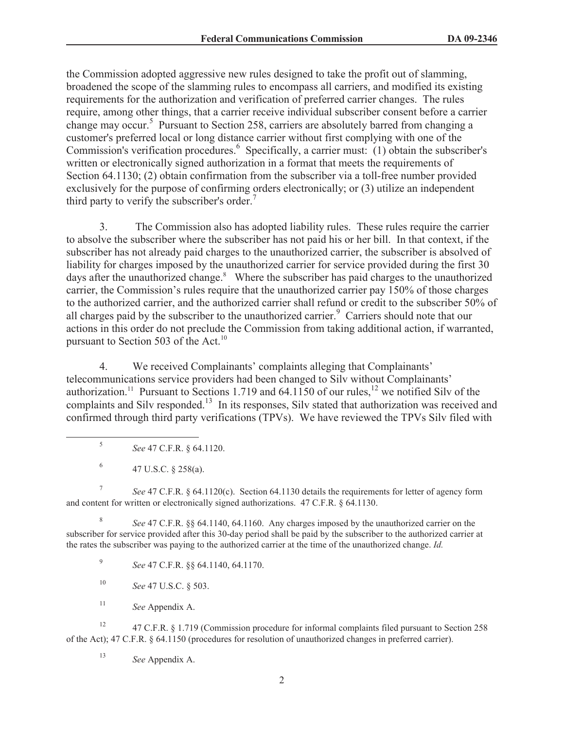the Commission adopted aggressive new rules designed to take the profit out of slamming, broadened the scope of the slamming rules to encompass all carriers, and modified its existing requirements for the authorization and verification of preferred carrier changes. The rules require, among other things, that a carrier receive individual subscriber consent before a carrier change may occur.<sup>5</sup> Pursuant to Section 258, carriers are absolutely barred from changing a customer's preferred local or long distance carrier without first complying with one of the Commission's verification procedures.<sup>6</sup> Specifically, a carrier must: (1) obtain the subscriber's written or electronically signed authorization in a format that meets the requirements of Section 64.1130; (2) obtain confirmation from the subscriber via a toll-free number provided exclusively for the purpose of confirming orders electronically; or (3) utilize an independent third party to verify the subscriber's order.<sup>7</sup>

3. The Commission also has adopted liability rules. These rules require the carrier to absolve the subscriber where the subscriber has not paid his or her bill. In that context, if the subscriber has not already paid charges to the unauthorized carrier, the subscriber is absolved of liability for charges imposed by the unauthorized carrier for service provided during the first 30 days after the unauthorized change.<sup>8</sup> Where the subscriber has paid charges to the unauthorized carrier, the Commission's rules require that the unauthorized carrier pay 150% of those charges to the authorized carrier, and the authorized carrier shall refund or credit to the subscriber 50% of all charges paid by the subscriber to the unauthorized carrier.<sup>9</sup> Carriers should note that our actions in this order do not preclude the Commission from taking additional action, if warranted, pursuant to Section 503 of the Act.<sup>10</sup>

4. We received Complainants' complaints alleging that Complainants' telecommunications service providers had been changed to Silv without Complainants' authorization.<sup>11</sup> Pursuant to Sections 1.719 and 64.1150 of our rules,<sup>12</sup> we notified Silv of the complaints and Silv responded.<sup>13</sup> In its responses, Silv stated that authorization was received and confirmed through third party verifications (TPVs). We have reviewed the TPVs Silv filed with

- 5 *See* 47 C.F.R. § 64.1120.
- 6 47 U.S.C. § 258(a).

7 *See* 47 C.F.R. § 64.1120(c). Section 64.1130 details the requirements for letter of agency form and content for written or electronically signed authorizations. 47 C.F.R. § 64.1130.

8 *See* 47 C.F.R. §§ 64.1140, 64.1160. Any charges imposed by the unauthorized carrier on the subscriber for service provided after this 30-day period shall be paid by the subscriber to the authorized carrier at the rates the subscriber was paying to the authorized carrier at the time of the unauthorized change. *Id.*

9 *See* 47 C.F.R. §§ 64.1140, 64.1170.

- <sup>10</sup> *See* 47 U.S.C. § 503.
- <sup>11</sup> *See* Appendix A.

<sup>12</sup> 47 C.F.R. § 1.719 (Commission procedure for informal complaints filed pursuant to Section 258 of the Act); 47 C.F.R. § 64.1150 (procedures for resolution of unauthorized changes in preferred carrier).

<sup>13</sup> *See* Appendix A.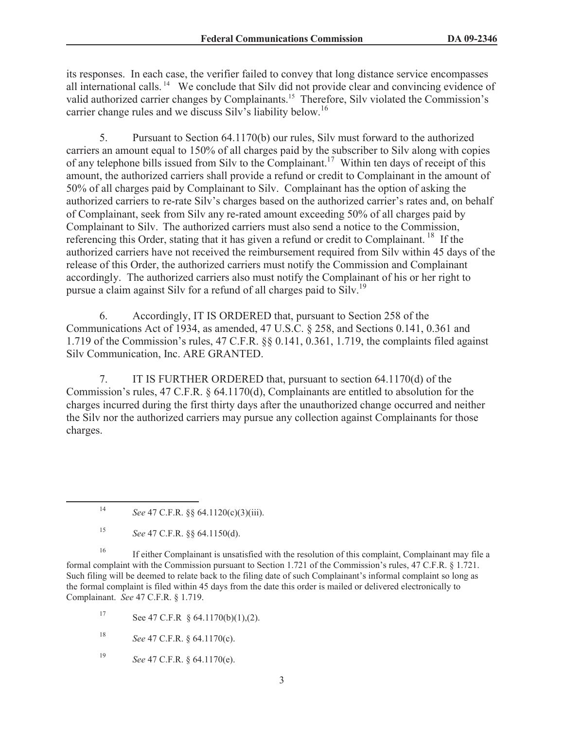its responses. In each case, the verifier failed to convey that long distance service encompasses all international calls. <sup>14</sup> We conclude that Silv did not provide clear and convincing evidence of valid authorized carrier changes by Complainants.<sup>15</sup> Therefore, Silv violated the Commission's carrier change rules and we discuss Silv's liability below.<sup>16</sup>

5. Pursuant to Section 64.1170(b) our rules, Silv must forward to the authorized carriers an amount equal to 150% of all charges paid by the subscriber to Silv along with copies of any telephone bills issued from Silv to the Complainant.<sup>17</sup> Within ten days of receipt of this amount, the authorized carriers shall provide a refund or credit to Complainant in the amount of 50% of all charges paid by Complainant to Silv. Complainant has the option of asking the authorized carriers to re-rate Silv's charges based on the authorized carrier's rates and, on behalf of Complainant, seek from Silv any re-rated amount exceeding 50% of all charges paid by Complainant to Silv. The authorized carriers must also send a notice to the Commission, referencing this Order, stating that it has given a refund or credit to Complainant.<sup>18</sup> If the authorized carriers have not received the reimbursement required from Silv within 45 days of the release of this Order, the authorized carriers must notify the Commission and Complainant accordingly. The authorized carriers also must notify the Complainant of his or her right to pursue a claim against Silv for a refund of all charges paid to Silv.<sup>19</sup>

6. Accordingly, IT IS ORDERED that, pursuant to Section 258 of the Communications Act of 1934, as amended, 47 U.S.C. § 258, and Sections 0.141, 0.361 and 1.719 of the Commission's rules, 47 C.F.R. §§ 0.141, 0.361, 1.719, the complaints filed against Silv Communication, Inc. ARE GRANTED.

7. IT IS FURTHER ORDERED that, pursuant to section 64.1170(d) of the Commission's rules, 47 C.F.R. § 64.1170(d), Complainants are entitled to absolution for the charges incurred during the first thirty days after the unauthorized change occurred and neither the Silv nor the authorized carriers may pursue any collection against Complainants for those charges.

<sup>16</sup> If either Complainant is unsatisfied with the resolution of this complaint, Complainant may file a formal complaint with the Commission pursuant to Section 1.721 of the Commission's rules, 47 C.F.R. § 1.721. Such filing will be deemed to relate back to the filing date of such Complainant's informal complaint so long as the formal complaint is filed within 45 days from the date this order is mailed or delivered electronically to Complainant. *See* 47 C.F.R. § 1.719.

<sup>17</sup> See 47 C.F.R § 64.1170(b)(1),(2).

<sup>18</sup> *See* 47 C.F.R. § 64.1170(c).

<sup>19</sup> *See* 47 C.F.R. § 64.1170(e).

<sup>14</sup> *See* 47 C.F.R. §§ 64.1120(c)(3)(iii).

<sup>15</sup> *See* 47 C.F.R. §§ 64.1150(d).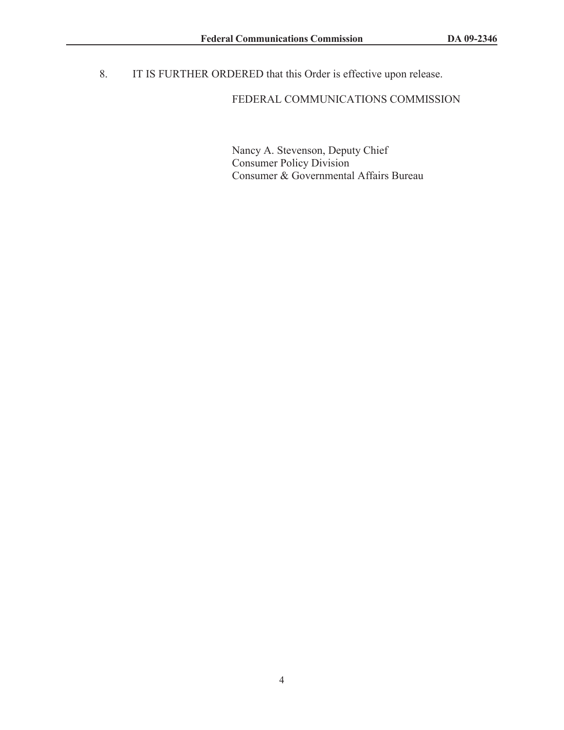8. IT IS FURTHER ORDERED that this Order is effective upon release.

## FEDERAL COMMUNICATIONS COMMISSION

Nancy A. Stevenson, Deputy Chief Consumer Policy Division Consumer & Governmental Affairs Bureau